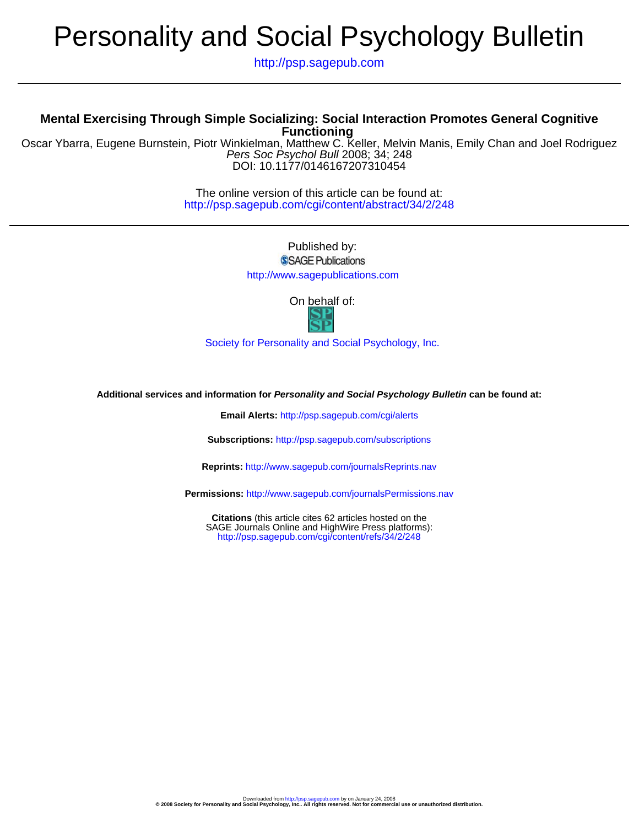# Personality and Social Psychology Bulletin

http://psp.sagepub.com

# **Functioning Mental Exercising Through Simple Socializing: Social Interaction Promotes General Cognitive**

DOI: 10.1177/0146167207310454 Pers Soc Psychol Bull 2008; 34; 248 Oscar Ybarra, Eugene Burnstein, Piotr Winkielman, Matthew C. Keller, Melvin Manis, Emily Chan and Joel Rodriguez

> http://psp.sagepub.com/cgi/content/abstract/34/2/248 The online version of this article can be found at:

> > Published by: SSAGE Publications http://www.sagepublications.com

> > > On behalf of:

[Society for Personality and Social Psychology, Inc.](http://www.spsp.org/)

**Additional services and information for Personality and Social Psychology Bulletin can be found at:**

**Email Alerts:** <http://psp.sagepub.com/cgi/alerts>

**Subscriptions:** <http://psp.sagepub.com/subscriptions>

**Reprints:** <http://www.sagepub.com/journalsReprints.nav>

**Permissions:** <http://www.sagepub.com/journalsPermissions.nav>

<http://psp.sagepub.com/cgi/content/refs/34/2/248> SAGE Journals Online and HighWire Press platforms): **Citations** (this article cites 62 articles hosted on the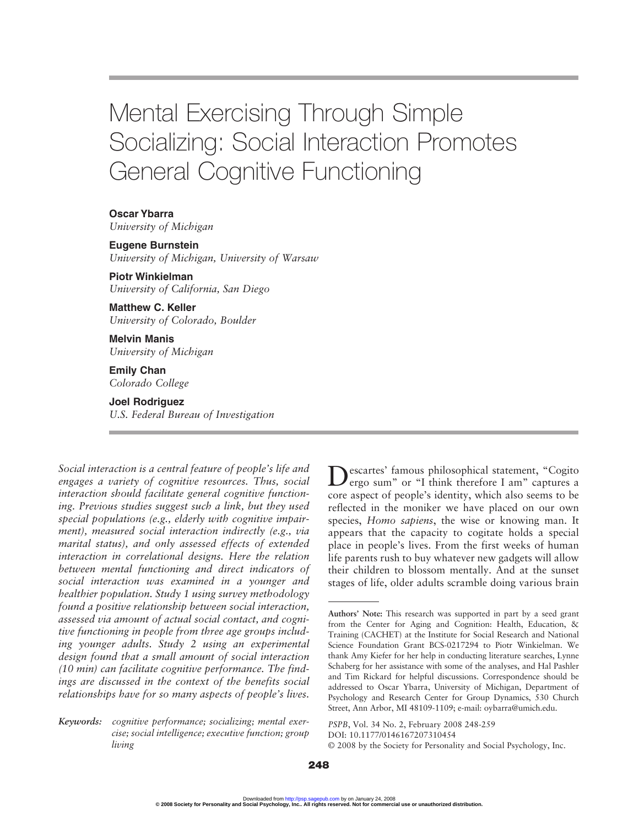# Mental Exercising Through Simple Socializing: Social Interaction Promotes General Cognitive Functioning

**Oscar Ybarra** *University of Michigan*

**Eugene Burnstein**

*University of Michigan, University of Warsaw*

**Piotr Winkielman** *University of California, San Diego*

**Matthew C. Keller** *University of Colorado, Boulder*

**Melvin Manis** *University of Michigan*

**Emily Chan** *Colorado College*

**Joel Rodriguez**

*U.S. Federal Bureau of Investigation*

*Social interaction is a central feature of people's life and engages a variety of cognitive resources. Thus, social interaction should facilitate general cognitive functioning. Previous studies suggest such a link, but they used special populations (e.g., elderly with cognitive impairment), measured social interaction indirectly (e.g., via marital status), and only assessed effects of extended interaction in correlational designs. Here the relation between mental functioning and direct indicators of social interaction was examined in a younger and healthier population. Study 1 using survey methodology found a positive relationship between social interaction, assessed via amount of actual social contact, and cognitive functioning in people from three age groups including younger adults. Study 2 using an experimental design found that a small amount of social interaction (10 min) can facilitate cognitive performance. The findings are discussed in the context of the benefits social relationships have for so many aspects of people's lives.* 

*Keywords: cognitive performance; socializing; mental exercise; social intelligence; executive function; group living*

Descartes' famous philosophical statement, "Cogito ergo sum" or "I think therefore I am" captures a core aspect of people's identity, which also seems to be reflected in the moniker we have placed on our own species, *Homo sapiens*, the wise or knowing man. It appears that the capacity to cogitate holds a special place in people's lives. From the first weeks of human life parents rush to buy whatever new gadgets will allow their children to blossom mentally. And at the sunset stages of life, older adults scramble doing various brain

*PSPB*, Vol. 34 No. 2, February 2008 248-259

**Authors' Note:** This research was supported in part by a seed grant from the Center for Aging and Cognition: Health, Education, & Training (CACHET) at the Institute for Social Research and National Science Foundation Grant BCS-0217294 to Piotr Winkielman. We thank Amy Kiefer for her help in conducting literature searches, Lynne Schaberg for her assistance with some of the analyses, and Hal Pashler and Tim Rickard for helpful discussions. Correspondence should be addressed to Oscar Ybarra, University of Michigan, Department of Psychology and Research Center for Group Dynamics, 530 Church Street, Ann Arbor, MI 48109-1109; e-mail: oybarra@umich.edu.

DOI: 10.1177/0146167207310454

<sup>© 2008</sup> by the Society for Personality and Social Psychology, Inc.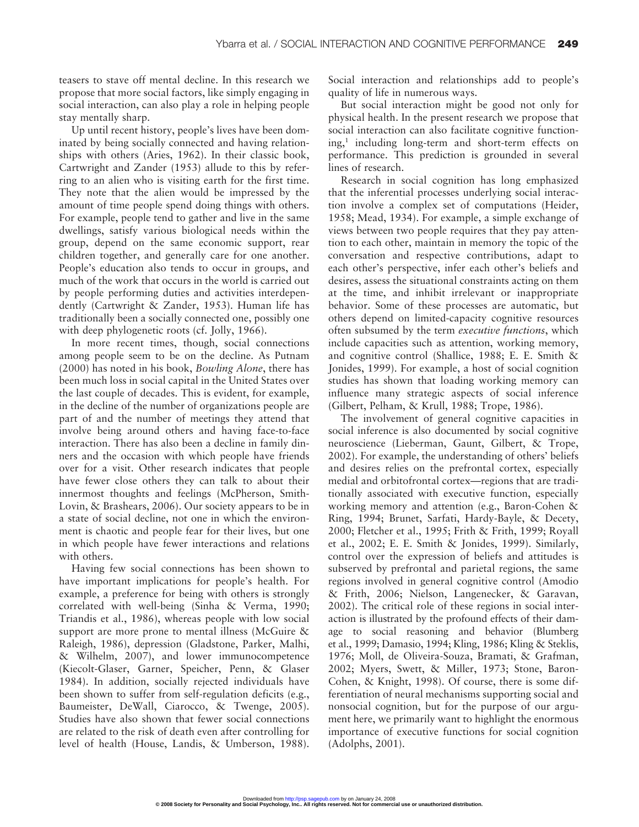teasers to stave off mental decline. In this research we propose that more social factors, like simply engaging in social interaction, can also play a role in helping people stay mentally sharp.

Up until recent history, people's lives have been dominated by being socially connected and having relationships with others (Aries, 1962). In their classic book, Cartwright and Zander (1953) allude to this by referring to an alien who is visiting earth for the first time. They note that the alien would be impressed by the amount of time people spend doing things with others. For example, people tend to gather and live in the same dwellings, satisfy various biological needs within the group, depend on the same economic support, rear children together, and generally care for one another. People's education also tends to occur in groups, and much of the work that occurs in the world is carried out by people performing duties and activities interdependently (Cartwright & Zander, 1953). Human life has traditionally been a socially connected one, possibly one with deep phylogenetic roots (cf. Jolly, 1966).

In more recent times, though, social connections among people seem to be on the decline. As Putnam (2000) has noted in his book, *Bowling Alone*, there has been much loss in social capital in the United States over the last couple of decades. This is evident, for example, in the decline of the number of organizations people are part of and the number of meetings they attend that involve being around others and having face-to-face interaction. There has also been a decline in family dinners and the occasion with which people have friends over for a visit. Other research indicates that people have fewer close others they can talk to about their innermost thoughts and feelings (McPherson, Smith-Lovin, & Brashears, 2006). Our society appears to be in a state of social decline, not one in which the environment is chaotic and people fear for their lives, but one in which people have fewer interactions and relations with others.

Having few social connections has been shown to have important implications for people's health. For example, a preference for being with others is strongly correlated with well-being (Sinha & Verma, 1990; Triandis et al., 1986), whereas people with low social support are more prone to mental illness (McGuire & Raleigh, 1986), depression (Gladstone, Parker, Malhi, & Wilhelm, 2007), and lower immunocompetence (Kiecolt-Glaser, Garner, Speicher, Penn, & Glaser 1984). In addition, socially rejected individuals have been shown to suffer from self-regulation deficits (e.g., Baumeister, DeWall, Ciarocco, & Twenge, 2005). Studies have also shown that fewer social connections are related to the risk of death even after controlling for level of health (House, Landis, & Umberson, 1988). Social interaction and relationships add to people's quality of life in numerous ways.

But social interaction might be good not only for physical health. In the present research we propose that social interaction can also facilitate cognitive functioning,<sup>1</sup> including long-term and short-term effects on performance. This prediction is grounded in several lines of research.

Research in social cognition has long emphasized that the inferential processes underlying social interaction involve a complex set of computations (Heider, 1958; Mead, 1934). For example, a simple exchange of views between two people requires that they pay attention to each other, maintain in memory the topic of the conversation and respective contributions, adapt to each other's perspective, infer each other's beliefs and desires, assess the situational constraints acting on them at the time, and inhibit irrelevant or inappropriate behavior. Some of these processes are automatic, but others depend on limited-capacity cognitive resources often subsumed by the term *executive functions*, which include capacities such as attention, working memory, and cognitive control (Shallice, 1988; E. E. Smith & Jonides, 1999). For example, a host of social cognition studies has shown that loading working memory can influence many strategic aspects of social inference (Gilbert, Pelham, & Krull, 1988; Trope, 1986).

The involvement of general cognitive capacities in social inference is also documented by social cognitive neuroscience (Lieberman, Gaunt, Gilbert, & Trope, 2002). For example, the understanding of others' beliefs and desires relies on the prefrontal cortex, especially medial and orbitofrontal cortex—regions that are traditionally associated with executive function, especially working memory and attention (e.g., Baron-Cohen & Ring, 1994; Brunet, Sarfati, Hardy-Bayle, & Decety, 2000; Fletcher et al., 1995; Frith & Frith, 1999; Royall et al., 2002; E. E. Smith & Jonides, 1999). Similarly, control over the expression of beliefs and attitudes is subserved by prefrontal and parietal regions, the same regions involved in general cognitive control (Amodio & Frith, 2006; Nielson, Langenecker, & Garavan, 2002). The critical role of these regions in social interaction is illustrated by the profound effects of their damage to social reasoning and behavior (Blumberg et al., 1999; Damasio, 1994; Kling, 1986; Kling & Steklis, 1976; Moll, de Oliveira-Souza, Bramati, & Grafman, 2002; Myers, Swett, & Miller, 1973; Stone, Baron-Cohen, & Knight, 1998). Of course, there is some differentiation of neural mechanisms supporting social and nonsocial cognition, but for the purpose of our argument here, we primarily want to highlight the enormous importance of executive functions for social cognition (Adolphs, 2001).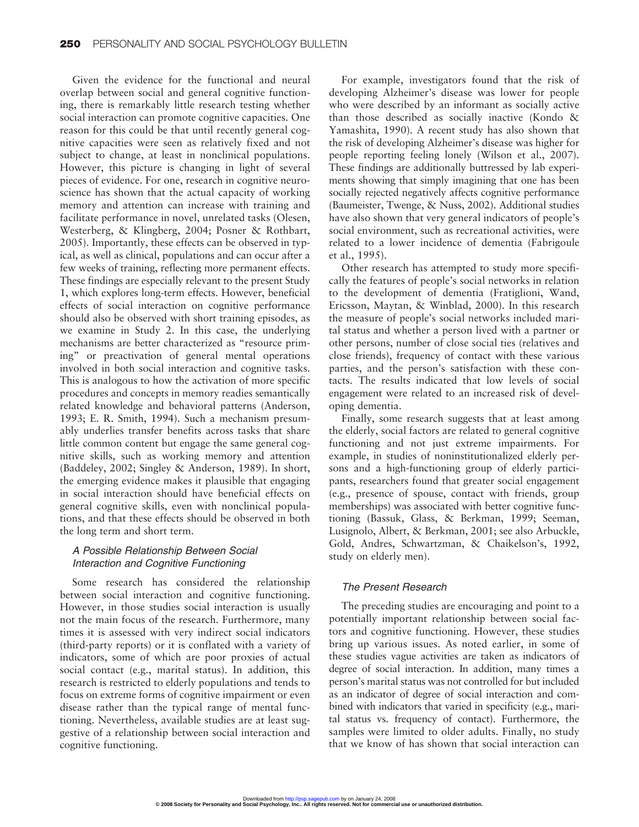Given the evidence for the functional and neural overlap between social and general cognitive functioning, there is remarkably little research testing whether social interaction can promote cognitive capacities. One reason for this could be that until recently general cognitive capacities were seen as relatively fixed and not subject to change, at least in nonclinical populations. However, this picture is changing in light of several pieces of evidence. For one, research in cognitive neuroscience has shown that the actual capacity of working memory and attention can increase with training and facilitate performance in novel, unrelated tasks (Olesen, Westerberg, & Klingberg, 2004; Posner & Rothbart, 2005). Importantly, these effects can be observed in typical, as well as clinical, populations and can occur after a few weeks of training, reflecting more permanent effects. These findings are especially relevant to the present Study 1, which explores long-term effects. However, beneficial effects of social interaction on cognitive performance should also be observed with short training episodes, as we examine in Study 2. In this case, the underlying mechanisms are better characterized as "resource priming" or preactivation of general mental operations involved in both social interaction and cognitive tasks. This is analogous to how the activation of more specific procedures and concepts in memory readies semantically related knowledge and behavioral patterns (Anderson, 1993; E. R. Smith, 1994). Such a mechanism presumably underlies transfer benefits across tasks that share little common content but engage the same general cognitive skills, such as working memory and attention (Baddeley, 2002; Singley & Anderson, 1989). In short, the emerging evidence makes it plausible that engaging in social interaction should have beneficial effects on general cognitive skills, even with nonclinical populations, and that these effects should be observed in both the long term and short term.

# A Possible Relationship Between Social Interaction and Cognitive Functioning

Some research has considered the relationship between social interaction and cognitive functioning. However, in those studies social interaction is usually not the main focus of the research. Furthermore, many times it is assessed with very indirect social indicators (third-party reports) or it is conflated with a variety of indicators, some of which are poor proxies of actual social contact (e.g., marital status). In addition, this research is restricted to elderly populations and tends to focus on extreme forms of cognitive impairment or even disease rather than the typical range of mental functioning. Nevertheless, available studies are at least suggestive of a relationship between social interaction and cognitive functioning.

For example, investigators found that the risk of developing Alzheimer's disease was lower for people who were described by an informant as socially active than those described as socially inactive (Kondo & Yamashita, 1990). A recent study has also shown that the risk of developing Alzheimer's disease was higher for people reporting feeling lonely (Wilson et al., 2007). These findings are additionally buttressed by lab experiments showing that simply imagining that one has been socially rejected negatively affects cognitive performance (Baumeister, Twenge, & Nuss, 2002). Additional studies have also shown that very general indicators of people's social environment, such as recreational activities, were related to a lower incidence of dementia (Fabrigoule et al., 1995).

Other research has attempted to study more specifically the features of people's social networks in relation to the development of dementia (Fratiglioni, Wand, Ericsson, Maytan, & Winblad, 2000). In this research the measure of people's social networks included marital status and whether a person lived with a partner or other persons, number of close social ties (relatives and close friends), frequency of contact with these various parties, and the person's satisfaction with these contacts. The results indicated that low levels of social engagement were related to an increased risk of developing dementia.

Finally, some research suggests that at least among the elderly, social factors are related to general cognitive functioning and not just extreme impairments. For example, in studies of noninstitutionalized elderly persons and a high-functioning group of elderly participants, researchers found that greater social engagement (e.g., presence of spouse, contact with friends, group memberships) was associated with better cognitive functioning (Bassuk, Glass, & Berkman, 1999; Seeman, Lusignolo, Albert, & Berkman, 2001; see also Arbuckle, Gold, Andres, Schwartzman, & Chaikelson's, 1992, study on elderly men).

## The Present Research

The preceding studies are encouraging and point to a potentially important relationship between social factors and cognitive functioning. However, these studies bring up various issues. As noted earlier, in some of these studies vague activities are taken as indicators of degree of social interaction. In addition, many times a person's marital status was not controlled for but included as an indicator of degree of social interaction and combined with indicators that varied in specificity (e.g., marital status vs. frequency of contact). Furthermore, the samples were limited to older adults. Finally, no study that we know of has shown that social interaction can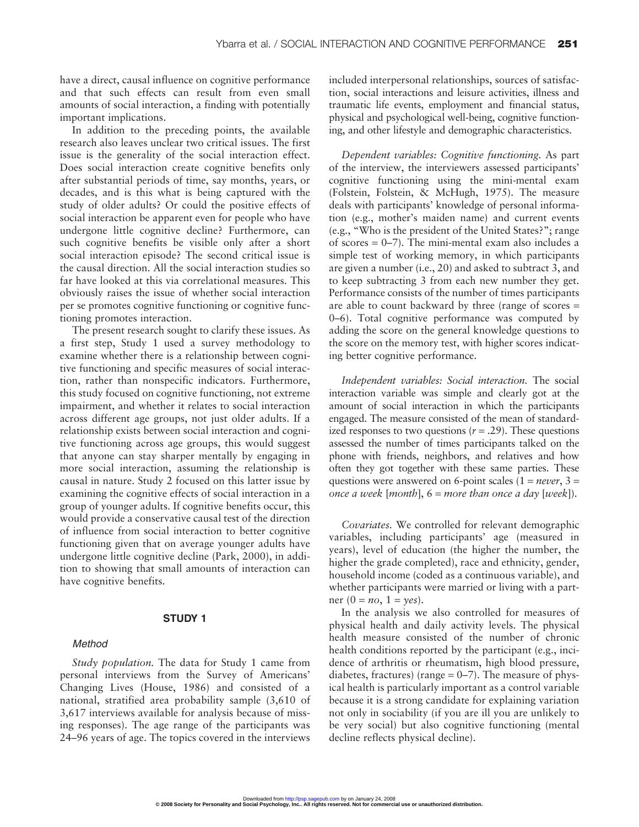have a direct, causal influence on cognitive performance and that such effects can result from even small amounts of social interaction, a finding with potentially important implications.

In addition to the preceding points, the available research also leaves unclear two critical issues. The first issue is the generality of the social interaction effect. Does social interaction create cognitive benefits only after substantial periods of time, say months, years, or decades, and is this what is being captured with the study of older adults? Or could the positive effects of social interaction be apparent even for people who have undergone little cognitive decline? Furthermore, can such cognitive benefits be visible only after a short social interaction episode? The second critical issue is the causal direction. All the social interaction studies so far have looked at this via correlational measures. This obviously raises the issue of whether social interaction per se promotes cognitive functioning or cognitive functioning promotes interaction.

The present research sought to clarify these issues. As a first step, Study 1 used a survey methodology to examine whether there is a relationship between cognitive functioning and specific measures of social interaction, rather than nonspecific indicators. Furthermore, this study focused on cognitive functioning, not extreme impairment, and whether it relates to social interaction across different age groups, not just older adults. If a relationship exists between social interaction and cognitive functioning across age groups, this would suggest that anyone can stay sharper mentally by engaging in more social interaction, assuming the relationship is causal in nature. Study 2 focused on this latter issue by examining the cognitive effects of social interaction in a group of younger adults. If cognitive benefits occur, this would provide a conservative causal test of the direction of influence from social interaction to better cognitive functioning given that on average younger adults have undergone little cognitive decline (Park, 2000), in addition to showing that small amounts of interaction can have cognitive benefits.

# **STUDY 1**

#### Method

*Study population.* The data for Study 1 came from personal interviews from the Survey of Americans' Changing Lives (House, 1986) and consisted of a national, stratified area probability sample (3,610 of 3,617 interviews available for analysis because of missing responses). The age range of the participants was 24–96 years of age. The topics covered in the interviews included interpersonal relationships, sources of satisfaction, social interactions and leisure activities, illness and traumatic life events, employment and financial status, physical and psychological well-being, cognitive functioning, and other lifestyle and demographic characteristics.

*Dependent variables: Cognitive functioning.* As part of the interview, the interviewers assessed participants' cognitive functioning using the mini-mental exam (Folstein, Folstein, & McHugh, 1975). The measure deals with participants' knowledge of personal information (e.g., mother's maiden name) and current events (e.g., "Who is the president of the United States?"; range of scores  $= 0-7$ ). The mini-mental exam also includes a simple test of working memory, in which participants are given a number (i.e., 20) and asked to subtract 3, and to keep subtracting 3 from each new number they get. Performance consists of the number of times participants are able to count backward by three (range of scores = 0–6). Total cognitive performance was computed by adding the score on the general knowledge questions to the score on the memory test, with higher scores indicating better cognitive performance.

*Independent variables: Social interaction.* The social interaction variable was simple and clearly got at the amount of social interaction in which the participants engaged. The measure consisted of the mean of standardized responses to two questions  $(r = .29)$ . These questions assessed the number of times participants talked on the phone with friends, neighbors, and relatives and how often they got together with these same parties. These questions were answered on 6-point scales (1 = *never*, 3 = *once a week* [*month*], 6 = *more than once a day* [*week*]).

*Covariates.* We controlled for relevant demographic variables, including participants' age (measured in years), level of education (the higher the number, the higher the grade completed), race and ethnicity, gender, household income (coded as a continuous variable), and whether participants were married or living with a partner  $(0 = no, 1 = yes)$ .

In the analysis we also controlled for measures of physical health and daily activity levels. The physical health measure consisted of the number of chronic health conditions reported by the participant (e.g., incidence of arthritis or rheumatism, high blood pressure, diabetes, fractures) (range  $= 0-7$ ). The measure of physical health is particularly important as a control variable because it is a strong candidate for explaining variation not only in sociability (if you are ill you are unlikely to be very social) but also cognitive functioning (mental decline reflects physical decline).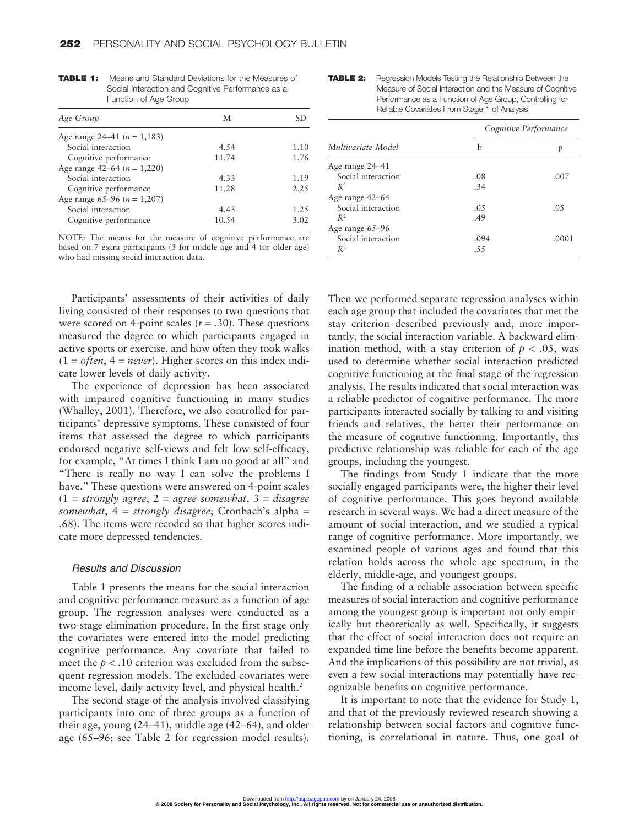| Age Group                       | М     | SD.  |
|---------------------------------|-------|------|
| Age range 24–41 ( $n = 1,183$ ) |       |      |
| Social interaction              | 4.54  | 1.10 |
| Cognitive performance           | 11.74 | 1.76 |
| Age range 42–64 ( $n = 1,220$ ) |       |      |
| Social interaction              | 4.33  | 1.19 |
| Cognitive performance           | 11.28 | 2.25 |
| Age range 65–96 ( $n = 1,207$ ) |       |      |
| Social interaction              | 4.43  | 1.25 |
| Cognitive performance           | 10.54 | 3.02 |

**TABLE 1:** Means and Standard Deviations for the Measures of Social Interaction and Cognitive Performance as a Function of Age Group

NOTE: The means for the measure of cognitive performance are based on 7 extra participants (3 for middle age and 4 for older age) who had missing social interaction data.

Participants' assessments of their activities of daily living consisted of their responses to two questions that were scored on 4-point scales  $(r = .30)$ . These questions measured the degree to which participants engaged in active sports or exercise, and how often they took walks  $(1 = often, 4 = never)$ . Higher scores on this index indicate lower levels of daily activity.

The experience of depression has been associated with impaired cognitive functioning in many studies (Whalley, 2001). Therefore, we also controlled for participants' depressive symptoms. These consisted of four items that assessed the degree to which participants endorsed negative self-views and felt low self-efficacy, for example, "At times I think I am no good at all" and "There is really no way I can solve the problems I have." These questions were answered on 4-point scales (1 = *strongly agree*, 2 = *agree somewhat*, 3 = *disagree somewhat*, 4 = *strongly disagree*; Cronbach's alpha = .68). The items were recoded so that higher scores indicate more depressed tendencies.

#### Results and Discussion

Table 1 presents the means for the social interaction and cognitive performance measure as a function of age group. The regression analyses were conducted as a two-stage elimination procedure. In the first stage only the covariates were entered into the model predicting cognitive performance. Any covariate that failed to meet the  $p < 0.10$  criterion was excluded from the subsequent regression models. The excluded covariates were income level, daily activity level, and physical health.<sup>2</sup>

The second stage of the analysis involved classifying participants into one of three groups as a function of their age, young (24–41), middle age (42–64), and older age (65–96; see Table 2 for regression model results).

| TABLE 2: | Regression Models Testing the Relationship Between the     |
|----------|------------------------------------------------------------|
|          | Measure of Social Interaction and the Measure of Cognitive |
|          | Performance as a Function of Age Group, Controlling for    |
|          | Reliable Covariates From Stage 1 of Analysis               |

| Multivariate Model | Cognitive Performance |       |  |
|--------------------|-----------------------|-------|--|
|                    | b                     | p     |  |
| Age range 24–41    |                       |       |  |
| Social interaction | .08                   | .007  |  |
| $R^2$              | .34                   |       |  |
| Age range 42–64    |                       |       |  |
| Social interaction | .05                   | .05   |  |
| $R^2$              | .49                   |       |  |
| Age range 65–96    |                       |       |  |
| Social interaction | .094                  | .0001 |  |
| $R^2$              | .55                   |       |  |

Then we performed separate regression analyses within each age group that included the covariates that met the stay criterion described previously and, more importantly, the social interaction variable. A backward elimination method, with a stay criterion of  $p < .05$ , was used to determine whether social interaction predicted cognitive functioning at the final stage of the regression analysis. The results indicated that social interaction was a reliable predictor of cognitive performance. The more participants interacted socially by talking to and visiting friends and relatives, the better their performance on the measure of cognitive functioning. Importantly, this predictive relationship was reliable for each of the age groups, including the youngest.

The findings from Study 1 indicate that the more socially engaged participants were, the higher their level of cognitive performance. This goes beyond available research in several ways. We had a direct measure of the amount of social interaction, and we studied a typical range of cognitive performance. More importantly, we examined people of various ages and found that this relation holds across the whole age spectrum, in the elderly, middle-age, and youngest groups.

The finding of a reliable association between specific measures of social interaction and cognitive performance among the youngest group is important not only empirically but theoretically as well. Specifically, it suggests that the effect of social interaction does not require an expanded time line before the benefits become apparent. And the implications of this possibility are not trivial, as even a few social interactions may potentially have recognizable benefits on cognitive performance.

It is important to note that the evidence for Study 1, and that of the previously reviewed research showing a relationship between social factors and cognitive functioning, is correlational in nature. Thus, one goal of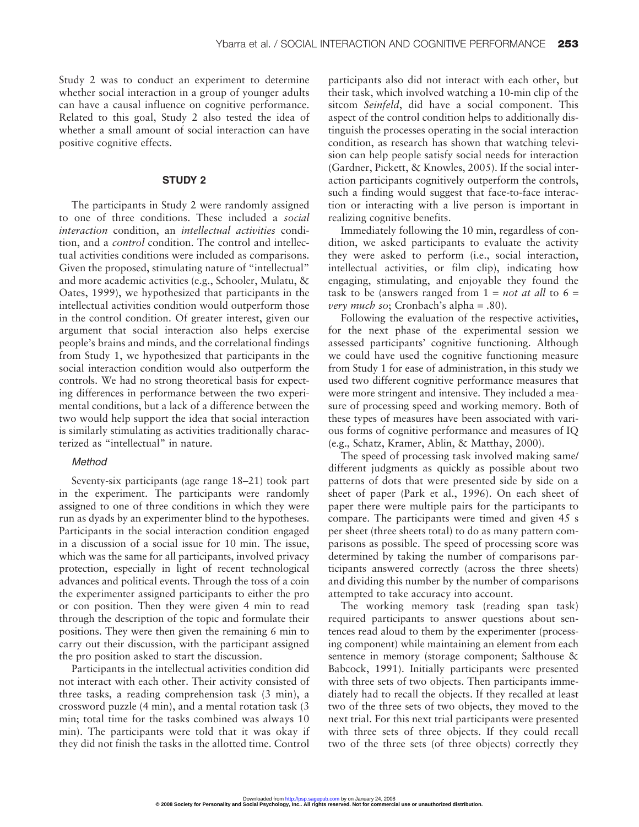Study 2 was to conduct an experiment to determine whether social interaction in a group of younger adults can have a causal influence on cognitive performance. Related to this goal, Study 2 also tested the idea of whether a small amount of social interaction can have positive cognitive effects.

# **STUDY 2**

The participants in Study 2 were randomly assigned to one of three conditions. These included a *social interaction* condition, an *intellectual activities* condition, and a *control* condition. The control and intellectual activities conditions were included as comparisons. Given the proposed, stimulating nature of "intellectual" and more academic activities (e.g., Schooler, Mulatu, & Oates, 1999), we hypothesized that participants in the intellectual activities condition would outperform those in the control condition. Of greater interest, given our argument that social interaction also helps exercise people's brains and minds, and the correlational findings from Study 1, we hypothesized that participants in the social interaction condition would also outperform the controls. We had no strong theoretical basis for expecting differences in performance between the two experimental conditions, but a lack of a difference between the two would help support the idea that social interaction is similarly stimulating as activities traditionally characterized as "intellectual" in nature.

#### Method

Seventy-six participants (age range 18–21) took part in the experiment. The participants were randomly assigned to one of three conditions in which they were run as dyads by an experimenter blind to the hypotheses. Participants in the social interaction condition engaged in a discussion of a social issue for 10 min. The issue, which was the same for all participants, involved privacy protection, especially in light of recent technological advances and political events. Through the toss of a coin the experimenter assigned participants to either the pro or con position. Then they were given 4 min to read through the description of the topic and formulate their positions. They were then given the remaining 6 min to carry out their discussion, with the participant assigned the pro position asked to start the discussion.

Participants in the intellectual activities condition did not interact with each other. Their activity consisted of three tasks, a reading comprehension task (3 min), a crossword puzzle (4 min), and a mental rotation task (3 min; total time for the tasks combined was always 10 min). The participants were told that it was okay if they did not finish the tasks in the allotted time. Control participants also did not interact with each other, but their task, which involved watching a 10-min clip of the sitcom *Seinfeld*, did have a social component. This aspect of the control condition helps to additionally distinguish the processes operating in the social interaction condition, as research has shown that watching television can help people satisfy social needs for interaction (Gardner, Pickett, & Knowles, 2005). If the social interaction participants cognitively outperform the controls, such a finding would suggest that face-to-face interaction or interacting with a live person is important in realizing cognitive benefits.

Immediately following the 10 min, regardless of condition, we asked participants to evaluate the activity they were asked to perform (i.e., social interaction, intellectual activities, or film clip), indicating how engaging, stimulating, and enjoyable they found the task to be (answers ranged from  $1 = not$  *at all* to  $6 =$ *very much so*; Cronbach's alpha = .80).

Following the evaluation of the respective activities, for the next phase of the experimental session we assessed participants' cognitive functioning. Although we could have used the cognitive functioning measure from Study 1 for ease of administration, in this study we used two different cognitive performance measures that were more stringent and intensive. They included a measure of processing speed and working memory. Both of these types of measures have been associated with various forms of cognitive performance and measures of IQ (e.g., Schatz, Kramer, Ablin, & Matthay, 2000).

The speed of processing task involved making same/ different judgments as quickly as possible about two patterns of dots that were presented side by side on a sheet of paper (Park et al., 1996). On each sheet of paper there were multiple pairs for the participants to compare. The participants were timed and given 45 s per sheet (three sheets total) to do as many pattern comparisons as possible. The speed of processing score was determined by taking the number of comparisons participants answered correctly (across the three sheets) and dividing this number by the number of comparisons attempted to take accuracy into account.

The working memory task (reading span task) required participants to answer questions about sentences read aloud to them by the experimenter (processing component) while maintaining an element from each sentence in memory (storage component; Salthouse & Babcock, 1991). Initially participants were presented with three sets of two objects. Then participants immediately had to recall the objects. If they recalled at least two of the three sets of two objects, they moved to the next trial. For this next trial participants were presented with three sets of three objects. If they could recall two of the three sets (of three objects) correctly they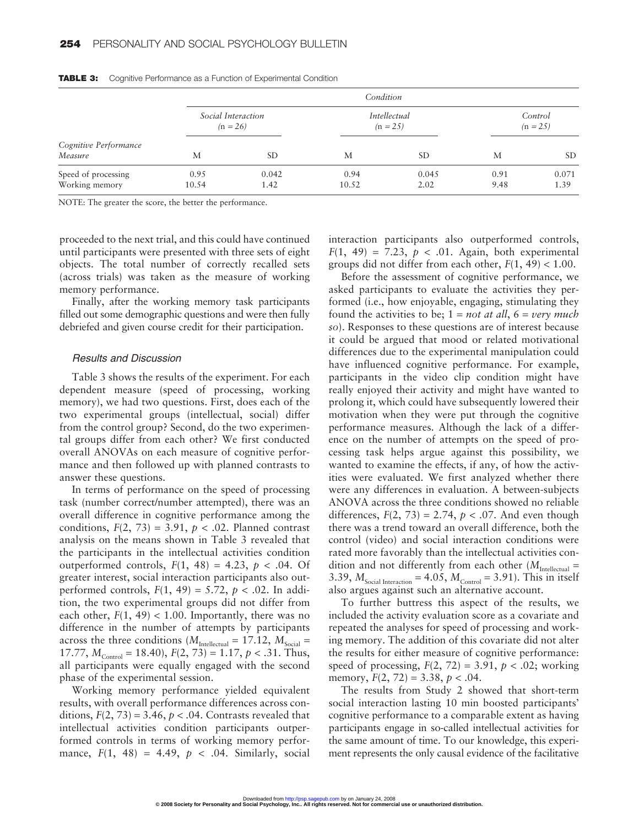|                                  |                    |           | Condition    |               |            |       |
|----------------------------------|--------------------|-----------|--------------|---------------|------------|-------|
|                                  | Social Interaction |           | Intellectual |               | Control    |       |
|                                  | $(n = 26)$         |           | $(n = 25)$   |               | $(n = 25)$ |       |
| Cognitive Performance<br>Measure | М                  | <b>SD</b> | М            | <sub>SD</sub> | М          | SD.   |
| Speed of processing              | 0.95               | 0.042     | 0.94         | 0.045         | 0.91       | 0.071 |
| Working memory                   | 10.54              | 1.42      | 10.52        | 2.02          | 9.48       | 1.39  |

**TABLE 3:** Cognitive Performance as a Function of Experimental Condition

NOTE: The greater the score, the better the performance.

proceeded to the next trial, and this could have continued until participants were presented with three sets of eight objects. The total number of correctly recalled sets (across trials) was taken as the measure of working memory performance.

Finally, after the working memory task participants filled out some demographic questions and were then fully debriefed and given course credit for their participation.

#### Results and Discussion

Table 3 shows the results of the experiment. For each dependent measure (speed of processing, working memory), we had two questions. First, does each of the two experimental groups (intellectual, social) differ from the control group? Second, do the two experimental groups differ from each other? We first conducted overall ANOVAs on each measure of cognitive performance and then followed up with planned contrasts to answer these questions.

In terms of performance on the speed of processing task (number correct/number attempted), there was an overall difference in cognitive performance among the conditions,  $F(2, 73) = 3.91$ ,  $p < .02$ . Planned contrast analysis on the means shown in Table 3 revealed that the participants in the intellectual activities condition outperformed controls,  $F(1, 48) = 4.23$ ,  $p < .04$ . Of greater interest, social interaction participants also outperformed controls,  $F(1, 49) = 5.72$ ,  $p < .02$ . In addition, the two experimental groups did not differ from each other,  $F(1, 49) < 1.00$ . Importantly, there was no difference in the number of attempts by participants across the three conditions ( $M_{\text{Intellectual}} = 17.12$ ,  $M_{\text{Social}} =$ 17.77,  $M_{\text{Control}} = 18.40$ ,  $F(2, 73) = 1.17$ ,  $p < .31$ . Thus, all participants were equally engaged with the second phase of the experimental session.

Working memory performance yielded equivalent results, with overall performance differences across conditions,  $F(2, 73) = 3.46$ ,  $p < .04$ . Contrasts revealed that intellectual activities condition participants outperformed controls in terms of working memory performance,  $F(1, 48) = 4.49, p < .04$ . Similarly, social interaction participants also outperformed controls,  $F(1, 49) = 7.23$ ,  $p < .01$ . Again, both experimental groups did not differ from each other,  $F(1, 49) < 1.00$ .

Before the assessment of cognitive performance, we asked participants to evaluate the activities they performed (i.e., how enjoyable, engaging, stimulating they found the activities to be; 1 = *not at all*, 6 = *very much so*). Responses to these questions are of interest because it could be argued that mood or related motivational differences due to the experimental manipulation could have influenced cognitive performance. For example, participants in the video clip condition might have really enjoyed their activity and might have wanted to prolong it, which could have subsequently lowered their motivation when they were put through the cognitive performance measures. Although the lack of a difference on the number of attempts on the speed of processing task helps argue against this possibility, we wanted to examine the effects, if any, of how the activities were evaluated. We first analyzed whether there were any differences in evaluation. A between-subjects ANOVA across the three conditions showed no reliable differences,  $F(2, 73) = 2.74$ ,  $p < .07$ . And even though there was a trend toward an overall difference, both the control (video) and social interaction conditions were rated more favorably than the intellectual activities condition and not differently from each other ( $M_{\text{Intellectual}} =$ 3.39,  $M_{\text{Social Integration}} = 4.05$ ,  $M_{\text{Control}} = 3.91$ ). This in itself also argues against such an alternative account.

To further buttress this aspect of the results, we included the activity evaluation score as a covariate and repeated the analyses for speed of processing and working memory. The addition of this covariate did not alter the results for either measure of cognitive performance: speed of processing,  $F(2, 72) = 3.91$ ,  $p < .02$ ; working memory,  $F(2, 72) = 3.38$ ,  $p < .04$ .

The results from Study 2 showed that short-term social interaction lasting 10 min boosted participants' cognitive performance to a comparable extent as having participants engage in so-called intellectual activities for the same amount of time. To our knowledge, this experiment represents the only causal evidence of the facilitative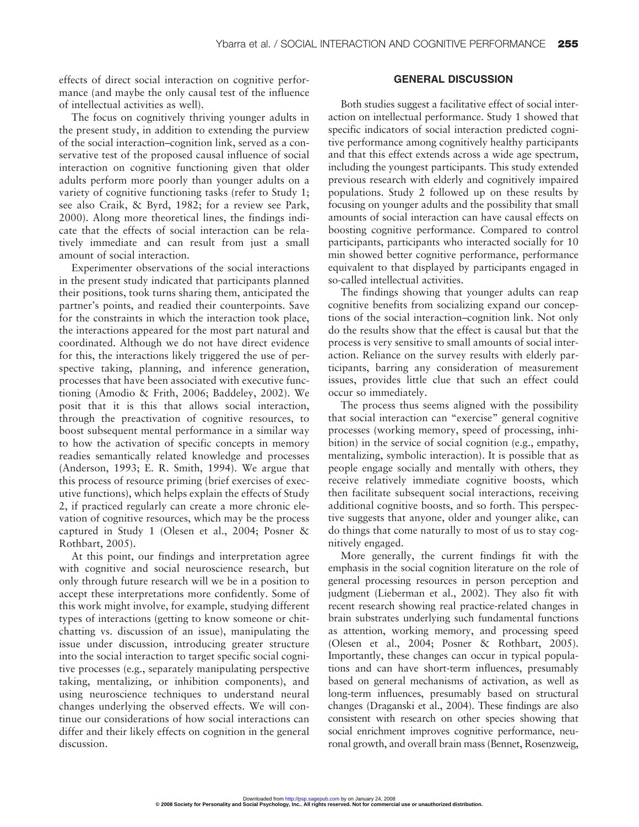effects of direct social interaction on cognitive performance (and maybe the only causal test of the influence of intellectual activities as well).

The focus on cognitively thriving younger adults in the present study, in addition to extending the purview of the social interaction–cognition link, served as a conservative test of the proposed causal influence of social interaction on cognitive functioning given that older adults perform more poorly than younger adults on a variety of cognitive functioning tasks (refer to Study 1; see also Craik, & Byrd, 1982; for a review see Park, 2000). Along more theoretical lines, the findings indicate that the effects of social interaction can be relatively immediate and can result from just a small amount of social interaction.

Experimenter observations of the social interactions in the present study indicated that participants planned their positions, took turns sharing them, anticipated the partner's points, and readied their counterpoints. Save for the constraints in which the interaction took place, the interactions appeared for the most part natural and coordinated. Although we do not have direct evidence for this, the interactions likely triggered the use of perspective taking, planning, and inference generation, processes that have been associated with executive functioning (Amodio & Frith, 2006; Baddeley, 2002). We posit that it is this that allows social interaction, through the preactivation of cognitive resources, to boost subsequent mental performance in a similar way to how the activation of specific concepts in memory readies semantically related knowledge and processes (Anderson, 1993; E. R. Smith, 1994). We argue that this process of resource priming (brief exercises of executive functions), which helps explain the effects of Study 2, if practiced regularly can create a more chronic elevation of cognitive resources, which may be the process captured in Study 1 (Olesen et al., 2004; Posner & Rothbart, 2005).

At this point, our findings and interpretation agree with cognitive and social neuroscience research, but only through future research will we be in a position to accept these interpretations more confidently. Some of this work might involve, for example, studying different types of interactions (getting to know someone or chitchatting vs. discussion of an issue), manipulating the issue under discussion, introducing greater structure into the social interaction to target specific social cognitive processes (e.g., separately manipulating perspective taking, mentalizing, or inhibition components), and using neuroscience techniques to understand neural changes underlying the observed effects. We will continue our considerations of how social interactions can differ and their likely effects on cognition in the general discussion.

# **GENERAL DISCUSSION**

Both studies suggest a facilitative effect of social interaction on intellectual performance. Study 1 showed that specific indicators of social interaction predicted cognitive performance among cognitively healthy participants and that this effect extends across a wide age spectrum, including the youngest participants. This study extended previous research with elderly and cognitively impaired populations. Study 2 followed up on these results by focusing on younger adults and the possibility that small amounts of social interaction can have causal effects on boosting cognitive performance. Compared to control participants, participants who interacted socially for 10 min showed better cognitive performance, performance equivalent to that displayed by participants engaged in so-called intellectual activities.

The findings showing that younger adults can reap cognitive benefits from socializing expand our conceptions of the social interaction–cognition link. Not only do the results show that the effect is causal but that the process is very sensitive to small amounts of social interaction. Reliance on the survey results with elderly participants, barring any consideration of measurement issues, provides little clue that such an effect could occur so immediately.

The process thus seems aligned with the possibility that social interaction can "exercise" general cognitive processes (working memory, speed of processing, inhibition) in the service of social cognition (e.g., empathy, mentalizing, symbolic interaction). It is possible that as people engage socially and mentally with others, they receive relatively immediate cognitive boosts, which then facilitate subsequent social interactions, receiving additional cognitive boosts, and so forth. This perspective suggests that anyone, older and younger alike, can do things that come naturally to most of us to stay cognitively engaged.

More generally, the current findings fit with the emphasis in the social cognition literature on the role of general processing resources in person perception and judgment (Lieberman et al., 2002). They also fit with recent research showing real practice-related changes in brain substrates underlying such fundamental functions as attention, working memory, and processing speed (Olesen et al., 2004; Posner & Rothbart, 2005). Importantly, these changes can occur in typical populations and can have short-term influences, presumably based on general mechanisms of activation, as well as long-term influences, presumably based on structural changes (Draganski et al., 2004). These findings are also consistent with research on other species showing that social enrichment improves cognitive performance, neuronal growth, and overall brain mass (Bennet, Rosenzweig,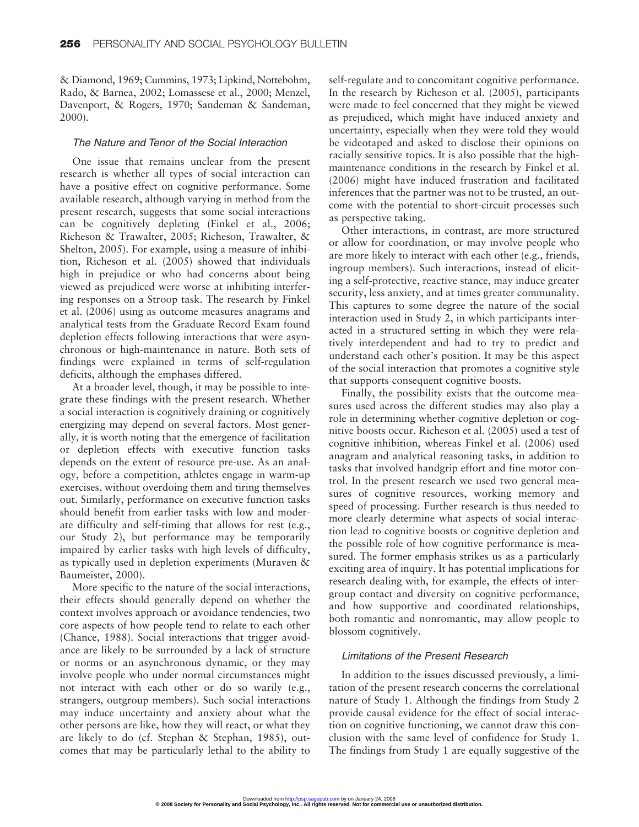& Diamond, 1969; Cummins, 1973; Lipkind, Nottebohm, Rado, & Barnea, 2002; Lomassese et al., 2000; Menzel, Davenport, & Rogers, 1970; Sandeman & Sandeman, 2000).

#### The Nature and Tenor of the Social Interaction

One issue that remains unclear from the present research is whether all types of social interaction can have a positive effect on cognitive performance. Some available research, although varying in method from the present research, suggests that some social interactions can be cognitively depleting (Finkel et al., 2006; Richeson & Trawalter, 2005; Richeson, Trawalter, & Shelton, 2005). For example, using a measure of inhibition, Richeson et al. (2005) showed that individuals high in prejudice or who had concerns about being viewed as prejudiced were worse at inhibiting interfering responses on a Stroop task. The research by Finkel et al. (2006) using as outcome measures anagrams and analytical tests from the Graduate Record Exam found depletion effects following interactions that were asynchronous or high-maintenance in nature. Both sets of findings were explained in terms of self-regulation deficits, although the emphases differed.

At a broader level, though, it may be possible to integrate these findings with the present research. Whether a social interaction is cognitively draining or cognitively energizing may depend on several factors. Most generally, it is worth noting that the emergence of facilitation or depletion effects with executive function tasks depends on the extent of resource pre-use. As an analogy, before a competition, athletes engage in warm-up exercises, without overdoing them and tiring themselves out. Similarly, performance on executive function tasks should benefit from earlier tasks with low and moderate difficulty and self-timing that allows for rest (e.g., our Study 2), but performance may be temporarily impaired by earlier tasks with high levels of difficulty, as typically used in depletion experiments (Muraven & Baumeister, 2000).

More specific to the nature of the social interactions, their effects should generally depend on whether the context involves approach or avoidance tendencies, two core aspects of how people tend to relate to each other (Chance, 1988). Social interactions that trigger avoidance are likely to be surrounded by a lack of structure or norms or an asynchronous dynamic, or they may involve people who under normal circumstances might not interact with each other or do so warily (e.g., strangers, outgroup members). Such social interactions may induce uncertainty and anxiety about what the other persons are like, how they will react, or what they are likely to do (cf. Stephan & Stephan, 1985), outcomes that may be particularly lethal to the ability to self-regulate and to concomitant cognitive performance. In the research by Richeson et al. (2005), participants were made to feel concerned that they might be viewed as prejudiced, which might have induced anxiety and uncertainty, especially when they were told they would be videotaped and asked to disclose their opinions on racially sensitive topics. It is also possible that the highmaintenance conditions in the research by Finkel et al. (2006) might have induced frustration and facilitated inferences that the partner was not to be trusted, an outcome with the potential to short-circuit processes such as perspective taking.

Other interactions, in contrast, are more structured or allow for coordination, or may involve people who are more likely to interact with each other (e.g., friends, ingroup members). Such interactions, instead of eliciting a self-protective, reactive stance, may induce greater security, less anxiety, and at times greater communality. This captures to some degree the nature of the social interaction used in Study 2, in which participants interacted in a structured setting in which they were relatively interdependent and had to try to predict and understand each other's position. It may be this aspect of the social interaction that promotes a cognitive style that supports consequent cognitive boosts.

Finally, the possibility exists that the outcome measures used across the different studies may also play a role in determining whether cognitive depletion or cognitive boosts occur. Richeson et al. (2005) used a test of cognitive inhibition, whereas Finkel et al. (2006) used anagram and analytical reasoning tasks, in addition to tasks that involved handgrip effort and fine motor control. In the present research we used two general measures of cognitive resources, working memory and speed of processing. Further research is thus needed to more clearly determine what aspects of social interaction lead to cognitive boosts or cognitive depletion and the possible role of how cognitive performance is measured. The former emphasis strikes us as a particularly exciting area of inquiry. It has potential implications for research dealing with, for example, the effects of intergroup contact and diversity on cognitive performance, and how supportive and coordinated relationships, both romantic and nonromantic, may allow people to blossom cognitively.

#### Limitations of the Present Research

In addition to the issues discussed previously, a limitation of the present research concerns the correlational nature of Study 1. Although the findings from Study 2 provide causal evidence for the effect of social interaction on cognitive functioning, we cannot draw this conclusion with the same level of confidence for Study 1. The findings from Study 1 are equally suggestive of the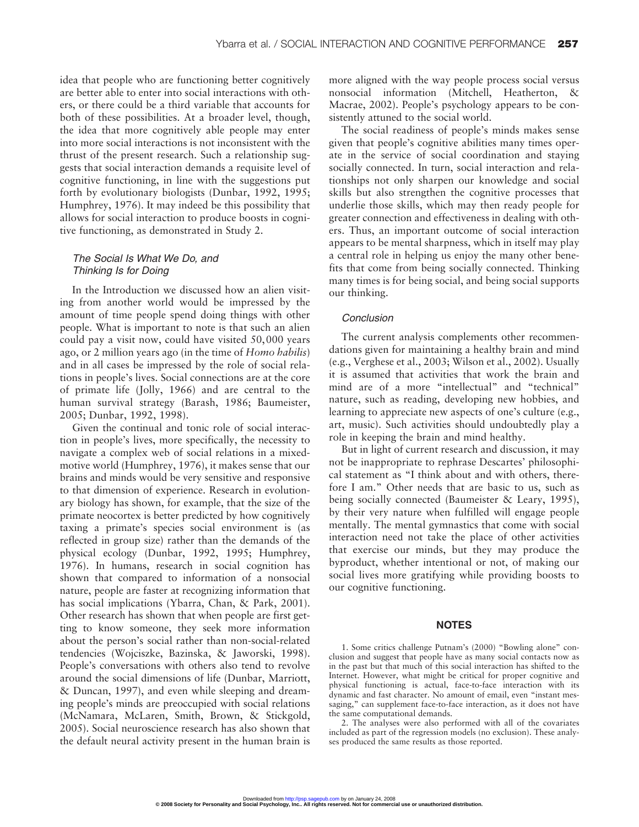idea that people who are functioning better cognitively are better able to enter into social interactions with others, or there could be a third variable that accounts for both of these possibilities. At a broader level, though, the idea that more cognitively able people may enter into more social interactions is not inconsistent with the thrust of the present research. Such a relationship suggests that social interaction demands a requisite level of cognitive functioning, in line with the suggestions put forth by evolutionary biologists (Dunbar, 1992, 1995; Humphrey, 1976). It may indeed be this possibility that allows for social interaction to produce boosts in cognitive functioning, as demonstrated in Study 2.

# The Social Is What We Do, and Thinking Is for Doing

In the Introduction we discussed how an alien visiting from another world would be impressed by the amount of time people spend doing things with other people. What is important to note is that such an alien could pay a visit now, could have visited 50,000 years ago, or 2 million years ago (in the time of *Homo habilis*) and in all cases be impressed by the role of social relations in people's lives. Social connections are at the core of primate life (Jolly, 1966) and are central to the human survival strategy (Barash, 1986; Baumeister, 2005; Dunbar, 1992, 1998).

Given the continual and tonic role of social interaction in people's lives, more specifically, the necessity to navigate a complex web of social relations in a mixedmotive world (Humphrey, 1976), it makes sense that our brains and minds would be very sensitive and responsive to that dimension of experience. Research in evolutionary biology has shown, for example, that the size of the primate neocortex is better predicted by how cognitively taxing a primate's species social environment is (as reflected in group size) rather than the demands of the physical ecology (Dunbar, 1992, 1995; Humphrey, 1976). In humans, research in social cognition has shown that compared to information of a nonsocial nature, people are faster at recognizing information that has social implications (Ybarra, Chan, & Park, 2001). Other research has shown that when people are first getting to know someone, they seek more information about the person's social rather than non-social-related tendencies (Wojciszke, Bazinska, & Jaworski, 1998). People's conversations with others also tend to revolve around the social dimensions of life (Dunbar, Marriott, & Duncan, 1997), and even while sleeping and dreaming people's minds are preoccupied with social relations (McNamara, McLaren, Smith, Brown, & Stickgold, 2005). Social neuroscience research has also shown that the default neural activity present in the human brain is more aligned with the way people process social versus nonsocial information (Mitchell, Heatherton, & Macrae, 2002). People's psychology appears to be consistently attuned to the social world.

The social readiness of people's minds makes sense given that people's cognitive abilities many times operate in the service of social coordination and staying socially connected. In turn, social interaction and relationships not only sharpen our knowledge and social skills but also strengthen the cognitive processes that underlie those skills, which may then ready people for greater connection and effectiveness in dealing with others. Thus, an important outcome of social interaction appears to be mental sharpness, which in itself may play a central role in helping us enjoy the many other benefits that come from being socially connected. Thinking many times is for being social, and being social supports our thinking.

#### Conclusion

The current analysis complements other recommendations given for maintaining a healthy brain and mind (e.g., Verghese et al., 2003; Wilson et al., 2002). Usually it is assumed that activities that work the brain and mind are of a more "intellectual" and "technical" nature, such as reading, developing new hobbies, and learning to appreciate new aspects of one's culture (e.g., art, music). Such activities should undoubtedly play a role in keeping the brain and mind healthy.

But in light of current research and discussion, it may not be inappropriate to rephrase Descartes' philosophical statement as "I think about and with others, therefore I am." Other needs that are basic to us, such as being socially connected (Baumeister & Leary, 1995), by their very nature when fulfilled will engage people mentally. The mental gymnastics that come with social interaction need not take the place of other activities that exercise our minds, but they may produce the byproduct, whether intentional or not, of making our social lives more gratifying while providing boosts to our cognitive functioning.

#### **NOTES**

1. Some critics challenge Putnam's (2000) "Bowling alone" conclusion and suggest that people have as many social contacts now as in the past but that much of this social interaction has shifted to the Internet. However, what might be critical for proper cognitive and physical functioning is actual, face-to-face interaction with its dynamic and fast character. No amount of email, even "instant messaging," can supplement face-to-face interaction, as it does not have the same computational demands.

2. The analyses were also performed with all of the covariates included as part of the regression models (no exclusion). These analyses produced the same results as those reported.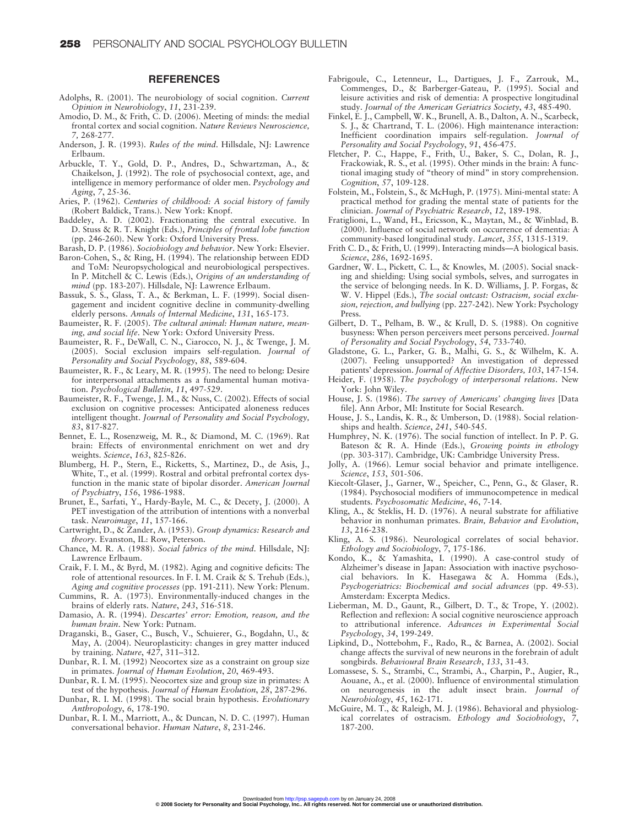#### **REFERENCES**

- Adolphs, R. (2001). The neurobiology of social cognition. *Current Opinion in Neurobiology*, *11*, 231-239.
- Amodio, D. M., & Frith, C. D. (2006). Meeting of minds: the medial frontal cortex and social cognition. *Nature Reviews Neuroscience, 7,* 268-277.
- Anderson, J. R. (1993). *Rules of the mind*. Hillsdale, NJ: Lawrence Erlbaum.
- Arbuckle, T. Y., Gold, D. P., Andres, D., Schwartzman, A., & Chaikelson, J. (1992). The role of psychosocial context, age, and intelligence in memory performance of older men. *Psychology and Aging*, *7*, 25-36.
- Aries, P. (1962). *Centuries of childhood: A social history of family* (Robert Baldick, Trans.). New York: Knopf.
- Baddeley, A. D. (2002). Fractionating the central executive. In D. Stuss & R. T. Knight (Eds.), *Principles of frontal lobe function* (pp. 246-260). New York: Oxford University Press.
- Barash, D. P. (1986). *Sociobiology and behavior*. New York: Elsevier.
- Baron-Cohen, S., & Ring, H. (1994). The relationship between EDD and ToM: Neuropsychological and neurobiological perspectives. In P. Mitchell & C. Lewis (Eds.), *Origins of an understanding of mind* (pp. 183-207). Hillsdale, NJ: Lawrence Erlbaum.
- Bassuk, S. S., Glass, T. A., & Berkman, L. F. (1999). Social disengagement and incident cognitive decline in community-dwelling elderly persons. *Annals of Internal Medicine*, *131*, 165-173.
- Baumeister, R. F. (2005). *The cultural animal: Human nature, meaning, and social life*. New York: Oxford University Press.
- Baumeister, R. F., DeWall, C. N., Ciarocco, N. J., & Twenge, J. M. (2005). Social exclusion impairs self-regulation. *Journal of Personality and Social Psychology*, *88*, 589-604.
- Baumeister, R. F., & Leary, M. R. (1995). The need to belong: Desire for interpersonal attachments as a fundamental human motivation. *Psychological Bulletin*, *11*, 497-529.
- Baumeister, R. F., Twenge, J. M., & Nuss, C. (2002). Effects of social exclusion on cognitive processes: Anticipated aloneness reduces intelligent thought. *Journal of Personality and Social Psychology, 83*, 817-827.
- Bennet, E. L., Rosenzweig, M. R., & Diamond, M. C. (1969). Rat brain: Effects of environmental enrichment on wet and dry weights. *Science*, *163*, 825-826.
- Blumberg, H. P., Stern, E., Ricketts, S., Martinez, D., de Asis, J., White, T., et al. (1999). Rostral and orbital prefrontal cortex dysfunction in the manic state of bipolar disorder. *American Journal of Psychiatry*, *156*, 1986-1988.
- Brunet, E., Sarfati, Y., Hardy-Bayle, M. C., & Decety, J. (2000). A PET investigation of the attribution of intentions with a nonverbal task. *Neuroimage*, *11*, 157-166.
- Cartwright, D., & Zander, A. (1953). *Group dynamics: Research and theory*. Evanston, IL: Row, Peterson.
- Chance, M. R. A. (1988). *Social fabrics of the mind*. Hillsdale, NJ: Lawrence Erlbaum.
- Craik, F. I. M., & Byrd, M. (1982). Aging and cognitive deficits: The role of attentional resources. In F. I. M. Craik & S. Trehub (Eds.), *Aging and cognitive processes* (pp. 191-211). New York: Plenum.
- Cummins, R. A. (1973). Environmentally-induced changes in the brains of elderly rats. *Nature*, *243*, 516-518.
- Damasio, A. R. (1994). *Descartes' error: Emotion, reason, and the human brain*. New York: Putnam.
- Draganski, B., Gaser, C., Busch, V., Schuierer, G., Bogdahn, U., & May, A. (2004). Neuroplasticity: changes in grey matter induced by training. *Nature*, *427*, 311–312.
- Dunbar, R. I. M. (1992) Neocortex size as a constraint on group size in primates. *Journal of Human Evolution*, *20*, 469-493.
- Dunbar, R. I. M. (1995). Neocortex size and group size in primates: A test of the hypothesis. *Journal of Human Evolution*, *28*, 287-296.
- Dunbar, R. I. M. (1998). The social brain hypothesis. *Evolutionary Anthropology*, *6*, 178-190.
- Dunbar, R. I. M., Marriott, A., & Duncan, N. D. C. (1997). Human conversational behavior. *Human Nature*, *8*, 231-246.
- Fabrigoule, C., Letenneur, L., Dartigues, J. F., Zarrouk, M., Commenges, D., & Barberger-Gateau, P. (1995). Social and leisure activities and risk of dementia: A prospective longitudinal study. *Journal of the American Geriatrics Society*, *43*, 485-490.
- Finkel, E. J., Campbell, W. K., Brunell, A. B., Dalton, A. N., Scarbeck, S. J., & Chartrand, T. L. (2006). High maintenance interaction: Inefficient coordination impairs self-regulation. *Journal of Personality and Social Psychology*, *91*, 456-475.
- Fletcher, P. C., Happe, F., Frith, U., Baker, S. C., Dolan, R. J., Frackowiak, R. S., et al. (1995). Other minds in the brain: A functional imaging study of "theory of mind" in story comprehension. *Cognition*, *57*, 109-128.
- Folstein, M., Folstein, S., & McHugh, P. (1975). Mini-mental state: A practical method for grading the mental state of patients for the clinician. *Journal of Psychiatric Research*, *12*, 189-198.
- Fratiglioni, L., Wand, H., Ericsson, K., Maytan, M., & Winblad, B. (2000). Influence of social network on occurrence of dementia: A community-based longitudinal study. *Lancet*, *355*, 1315-1319.
- Frith C. D., & Frith, U. (1999). Interacting minds—A biological basis. *Science*, *286*, 1692-1695.
- Gardner, W. L., Pickett, C. L., & Knowles, M. (2005). Social snacking and shielding: Using social symbols, selves, and surrogates in the service of belonging needs. In K. D. Williams, J. P. Forgas, & W. V. Hippel (Eds.), *The social outcast: Ostracism, social exclusion, rejection, and bullying* (pp. 227-242). New York: Psychology Press.
- Gilbert, D. T., Pelham, B. W., & Krull, D. S. (1988). On cognitive busyness: When person perceivers meet persons perceived. *Journal of Personality and Social Psychology*, *54*, 733-740.
- Gladstone, G. L., Parker, G. B., Malhi, G. S., & Wilhelm, K. A. (2007). Feeling unsupported? An investigation of depressed patients' depression. *Journal of Affective Disorders, 103*, 147-154.
- Heider, F. (1958). *The psychology of interpersonal relations*. New York: John Wiley.
- House, J. S. (1986). *The survey of Americans' changing lives* [Data file]. Ann Arbor, MI: Institute for Social Research.
- House, J. S., Landis, K. R., & Umberson, D. (1988). Social relationships and health. *Science*, *241*, 540-545.
- Humphrey, N. K. (1976). The social function of intellect. In P. P. G. Bateson & R. A. Hinde (Eds.), *Growing points in ethology* (pp. 303-317). Cambridge, UK: Cambridge University Press.
- Jolly, A. (1966). Lemur social behavior and primate intelligence. *Science*, *153*, 501-506.
- Kiecolt-Glaser, J., Garner, W., Speicher, C., Penn, G., & Glaser, R. (1984). Psychosocial modifiers of immunocompetence in medical students. *Psychosomatic Medicine*, *46*, 7-14.
- Kling, A., & Steklis, H. D. (1976). A neural substrate for affiliative behavior in nonhuman primates. *Brain, Behavior and Evolution*, *13*, 216-238.
- Kling, A. S. (1986). Neurological correlates of social behavior. *Ethology and Sociobiology*, *7*, 175-186.
- Kondo, K., & Yamashita, I. (1990). A case-control study of Alzheimer's disease in Japan: Association with inactive psychosocial behaviors. In K. Hasegawa & A. Homma (Eds.), *Psychogeriatrics: Biochemical and social advances* (pp. 49-53). Amsterdam: Excerpta Medics.
- Lieberman, M. D., Gaunt, R., Gilbert, D. T., & Trope, Y. (2002). Reflection and reflexion: A social cognitive neuroscience approach to attributional inference. *Advances in Experimental Social Psychology*, *34*, 199-249.
- Lipkind, D., Nottebohm, F., Rado, R., & Barnea, A. (2002). Social change affects the survival of new neurons in the forebrain of adult songbirds. *Behavioural Brain Research*, *133*, 31-43.
- Lomassese, S. S., Strambi, C., Strambi, A., Charpin, P., Augier, R., Aouane, A., et al. (2000). Influence of environmental stimulation on neurogenesis in the adult insect brain. *Journal of Neurobiology*, *45*, 162-171.
- McGuire, M. T., & Raleigh, M. J. (1986). Behavioral and physiological correlates of ostracism. *Ethology and Sociobiology*, *7*, 187-200.